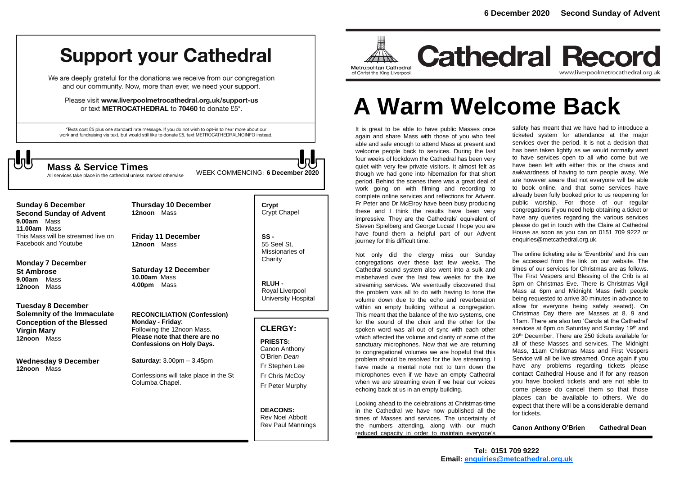## **Support your Cathedral**

We are deeply grateful for the donations we receive from our congregation and our community. Now, more than ever, we need your support.

Please visit www.liverpoolmetrocathedral.org.uk/support-us or text METROCATHEDRAL to 70460 to donate £5\*.

\*Texts cost £5 plus one standard rate message. If you do not wish to opt-in to hear more about our work and fundraising via text, but would still like to donate £5, text METROCATHEDRALNOINFO instead.

All services take place in the cathedral unless marked otherwise

WEEK COMMENCING: **6 December <sup>2020</sup> Mass & Service Times**

**Sunday 6 December Second Sunday of Advent 9.00am** Mass **11.00am** Mass This Mass will be streamed live on Facebook and Youtube

**Monday 7 December St Ambrose 9.00am** Mass **12noon** Mass

**Tuesday 8 December Solemnity of the Immaculate Conception of the Blessed Virgin Mary 12noon** Mass

**Wednesday 9 December 12noon** Mass

**12noon** Mass **Friday 11 December 12noon** Mass

**Thursday 10 December**

**Saturday 12 December 10.00am** Mass **4.00pm** Mass

**RECONCILIATION (Confession) Monday - Friday**: Following the 12noon Mass. **Please note that there are no Confessions on Holy Days.**

**Saturday:** 3.00pm – 3.45pm

Confessions will take place in the St Columba Chapel.

**Crypt**  Crypt Chapel

**SS -** 55 Seel St, Missionaries of **Charity** 

**RLUH -** Royal Liverpool University Hospital

#### **CLERGY:**

**PRIESTS:** Canon Anthony O'Brien *Dean* Fr Stephen Lee Fr Chris McCoy Fr Peter Murphy

**DEACONS:** Rev Noel Abbott Rev Paul Mannings



**Cathedral Record** www.liverpoolmetrocathedral.org.uk

# **A Warm Welcome Back**

It is great to be able to have public Masses once again and share Mass with those of you who feel able and safe enough to attend Mass at present and welcome people back to services. During the last four weeks of lockdown the Cathedral has been very quiet with very few private visitors. It almost felt as though we had gone into hibernation for that short period. Behind the scenes there was a great deal of work going on with filming and recording to complete online services and reflections for Advent. Fr Peter and Dr McElroy have been busy producing these and I think the results have been very impressive. They are the Cathedrals' equivalent of Steven Spielberg and George Lucas! I hope you are have found them a helpful part of our Advent journey for this difficult time.

Not only did the clergy miss our Sunday congregations over these last few weeks. The Cathedral sound system also went into a sulk and misbehaved over the last few weeks for the live streaming services. We eventually discovered that the problem was all to do with having to tone the volume down due to the echo and reverberation within an empty building without a congregation. This meant that the balance of the two systems, one for the sound of the choir and the other for the spoken word was all out of sync with each other which affected the volume and clarity of some of the sanctuary microphones. Now that we are returning to congregational volumes we are hopeful that this problem should be resolved for the live streaming. I have made a mental note not to turn down the microphones even if we have an empty Cathedral when we are streaming even if we hear our voices echoing back at us in an empty building.

Looking ahead to the celebrations at Christmas-time in the Cathedral we have now published all the times of Masses and services. The uncertainty of the numbers attending, along with our much reduced capacity in order to maintain everyone's

safety has meant that we have had to introduce a ticketed system for attendance at the major services over the period. It is not a decision that has been taken lightly as we would normally want to have services open to all who come but we have been left with either this or the chaos and awkwardness of having to turn people away. We are however aware that not everyone will be able to book online, and that some services have already been fully booked prior to us reopening for public worship. For those of our regular congregations if you need help obtaining a ticket or have any queries regarding the various services please do get in touch with the Claire at Cathedral House as soon as you can on 0151 709 9222 or enquiries@metcathedral.org.uk.

The online ticketing site is 'Eventbrite' and this can be accessed from the link on our website. The times of our services for Christmas are as follows. The First Vespers and Blessing of the Crib is at 3pm on Christmas Eve. There is Christmas Vigil Mass at 6pm and Midnight Mass (with people being requested to arrive 30 minutes in advance to allow for everyone being safely seated). On Christmas Day there are Masses at 8, 9 and 11am. There are also two 'Carols at the Cathedral' services at 6pm on Saturday and Sunday 19<sup>th</sup> and 20th December. There are 250 tickets available for all of these Masses and services. The Midnight Mass, 11am Christmas Mass and First Vespers Service will all be live streamed. Once again if you have any problems regarding tickets please contact Cathedral House and if for any reason you have booked tickets and are not able to come please do cancel them so that those places can be available to others. We do expect that there will be a considerable demand for tickets.

**Canon Anthony O'Brien Cathedral Dean**